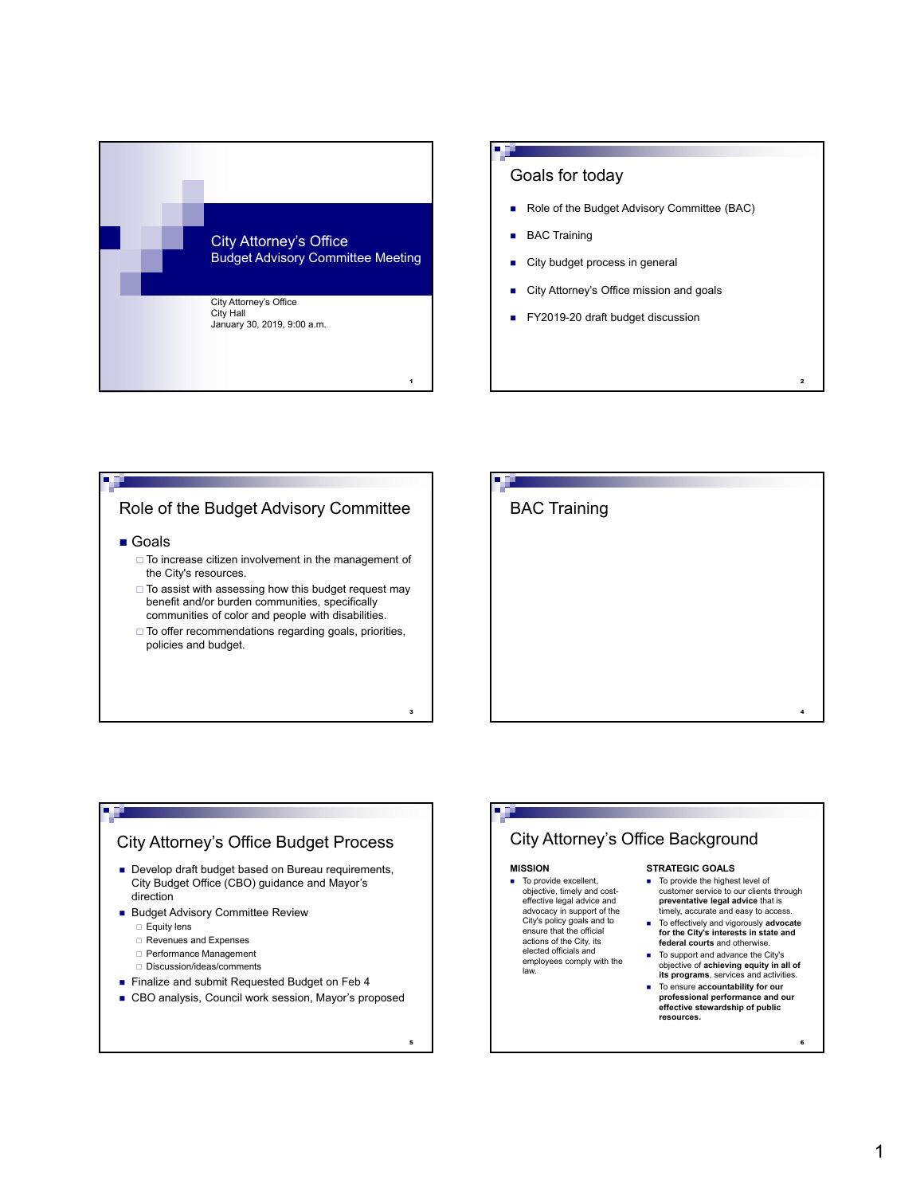

## Goals for today

- Role of the Budget Advisory Committee (BAC)
- **BAC Training**
- City budget process in general
- City Attorney's Office mission and goals
- FY2019-20 draft budget discussion

# Role of the Budget Advisory Committee

■ Goals

чü.

- $\square$  To increase citizen involvement in the management of the City's resources.
- $\Box$  To assist with assessing how this budget request may benefit and/or burden communities, specifically communities of color and people with disabilities.
- $\Box$  To offer recommendations regarding goals, priorities, policies and budget.

3

5

law.

# BAC Training 4

 $\overline{2}$ 

# City Attorney's Office Budget Process

- Develop draft budget based on Bureau requirements, City Budget Office (CBO) guidance and Mayor's direction
- **Budget Advisory Committee Review** 
	- $\Box$  Equity lens
	- Revenues and Expenses
	- □ Performance Management
	- □ Discussion/ideas/comments
- **Finalize and submit Requested Budget on Feb 4**
- CBO analysis, Council work session, Mayor's proposed

#### City Attorney's Office Background **MISSION**  $\blacksquare$  To provide excellent, objective, timely and costeffective legal advice and advocacy in support of the City's policy goals and to ensure that the official actions of the City, its elected officials and employees comply with the **STRATEGIC GOALS**  $\blacksquare$  To provide the highest level of customer service to our clients through **preventative legal advice** that is timely, accurate and easy to access. To effectively and vigorously **advocate for the City's interests in state and federal courts** and otherwise. To support and advance the City's

- objective of **achieving equity in all of its programs**, services and activities. To ensure **accountability for our**
- **professional performance and our effective stewardship of public resources.**

6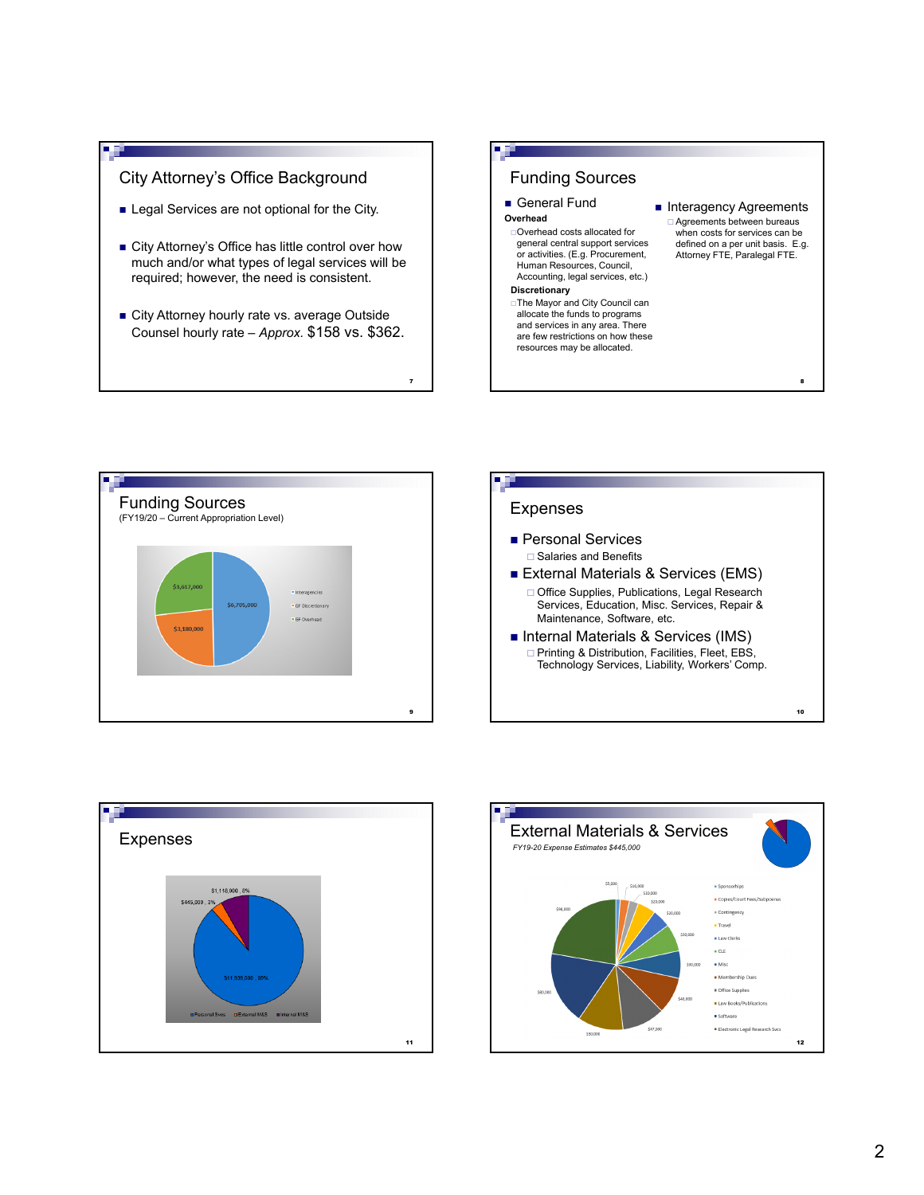

a uj

- **Exercise** Legal Services are not optional for the City.
- City Attorney's Office has little control over how much and/or what types of legal services will be required; however, the need is consistent.
- City Attorney hourly rate vs. average Outside Counsel hourly rate – *Approx.* \$158 vs. \$362.